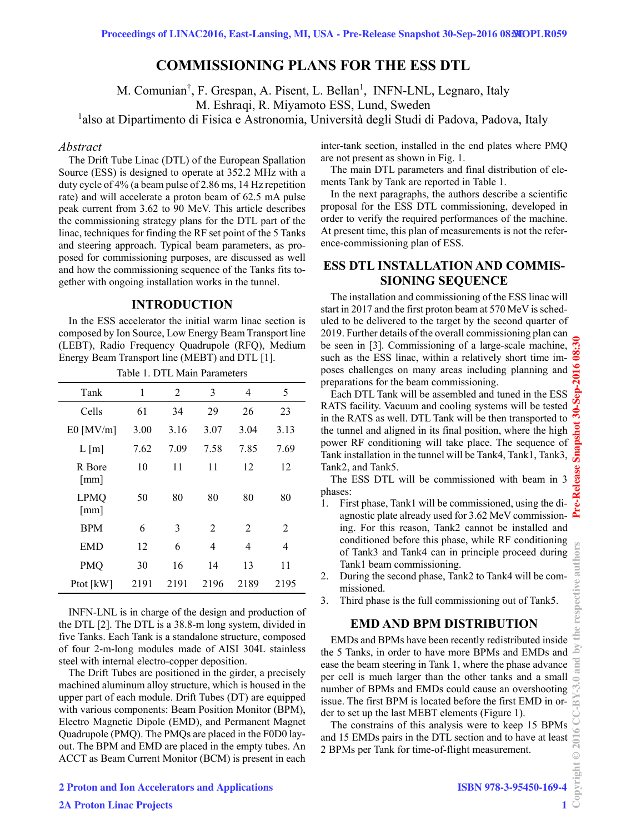# **COMMISSIONING PLANS FOR THE ESS DTL**

M. Comunian<sup>†</sup>, F. Grespan, A. Pisent, L. Bellan<sup>1</sup>, INFN-LNL, Legnaro, Italy M. Eshraqi, R. Miyamoto ESS, Lund, Sweden

<sup>1</sup>also at Dipartimento di Fisica e Astronomia, Università degli Studi di Padova, Padova, Italy

#### *Abstract*

The Drift Tube Linac (DTL) of the European Spallation Source (ESS) is designed to operate at 352.2 MHz with a duty cycle of 4% (a beam pulse of 2.86 ms, 14 Hz repetition rate) and will accelerate a proton beam of 62.5 mA pulse peak current from 3.62 to 90 MeV. This article describes the commissioning strategy plans for the DTL part of the linac, techniques for finding the RF set point of the 5 Tanks and steering approach. Typical beam parameters, as proposed for commissioning purposes, are discussed as well and how the commissioning sequence of the Tanks fits together with ongoing installation works in the tunnel.

## **INTRODUCTION**

In the ESS accelerator the initial warm linac section is composed by Ion Source, Low Energy Beam Transport line (LEBT), Radio Frequency Quadrupole (RFQ), Medium Energy Beam Transport line (MEBT) and DTL [1].

| Table 1. DTL Main Parameters        |      |      |      |                |      |  |  |
|-------------------------------------|------|------|------|----------------|------|--|--|
| Tank                                | 1    | 2    | 3    | 4              | 5    |  |  |
| Cells                               | 61   | 34   | 29   | 26             | 23   |  |  |
| $E0$ [MV/m]                         | 3.00 | 3.16 | 3.07 | 3.04           | 3.13 |  |  |
| $L \,[\mathrm{m}]$                  | 7.62 | 7.09 | 7.58 | 7.85           | 7.69 |  |  |
| R Bore<br>$\lceil$ mm $\rceil$      | 10   | 11   | 11   | 12             | 12   |  |  |
| <b>LPMQ</b><br>$\lceil$ mm $\rceil$ | 50   | 80   | 80   | 80             | 80   |  |  |
| <b>BPM</b>                          | 6    | 3    | 2    | $\overline{2}$ | 2    |  |  |
| EMD                                 | 12   | 6    | 4    | 4              | 4    |  |  |
| <b>PMQ</b>                          | 30   | 16   | 14   | 13             | 11   |  |  |
| Ptot [kW]                           | 2191 | 2191 | 2196 | 2189           | 2195 |  |  |

INFN-LNL is in charge of the design and production of the DTL [2]. The DTL is a 38.8-m long system, divided in five Tanks. Each Tank is a standalone structure, composed of four 2-m-long modules made of AISI 304L stainless steel with internal electro-copper deposition.

The Drift Tubes are positioned in the girder, a precisely machined aluminum alloy structure, which is housed in the upper part of each module. Drift Tubes (DT) are equipped with various components: Beam Position Monitor (BPM), Electro Magnetic Dipole (EMD), and Permanent Magnet Quadrupole (PMQ). The PMQs are placed in the F0D0 layout. The BPM and EMD are placed in the empty tubes. An ACCT as Beam Current Monitor (BCM) is present in each inter-tank section, installed in the end plates where PMQ are not present as shown in Fig. 1.

The main DTL parameters and final distribution of elements Tank by Tank are reported in Table 1.

In the next paragraphs, the authors describe a scientific proposal for the ESS DTL commissioning, developed in order to verify the required performances of the machine. At present time, this plan of measurements is not the reference-commissioning plan of ESS.

# **ESS DTL INSTALLATION AND COMMIS-SIONING SEQUENCE**

The installation and commissioning of the ESS linac will start in 2017 and the first proton beam at 570 MeV is scheduled to be delivered to the target by the second quarter of 2019. Further details of the overall commissioning plan can be seen in [3]. Commissioning of a large-scale machine, such as the ESS linac, within a relatively short time imposes challenges on many areas including planning and preparations for the beam commissioning.

Each DTL Tank will be assembled and tuned in the ESS RATS facility. Vacuum and cooling systems will be tested in the RATS as well. DTL Tank will be then transported to the tunnel and aligned in its final position, where the high power RF conditioning will take place. The sequence of Tank installation in the tunnel will be Tank4, Tank1, Tank3, Tank2, and Tank5.

The ESS DTL will be commissioned with beam in 3 phases:

- 1. First phase, Tank1 will be commissioned, using the diagnostic plate already used for 3.62 MeV commissioning. For this reason, Tank2 cannot be installed and conditioned before this phase, while RF conditioning of Tank3 and Tank4 can in principle proceed during Tank1 beam commissioning.
- 2. During the second phase, Tank2 to Tank4 will be commissioned.
- 3. Third phase is the full commissioning out of Tank5.

## **EMD AND BPM DISTRIBUTION**

EMDs and BPMs have been recently redistributed inside the 5 Tanks, in order to have more BPMs and EMDs and ease the beam steering in Tank 1, where the phase advance per cell is much larger than the other tanks and a small number of BPMs and EMDs could cause an overshooting issue. The first BPM is located before the first EMD in order to set up the last MEBT elements (Figure 1).

The constrains of this analysis were to keep 15 BPMs and 15 EMDs pairs in the DTL section and to have at least 2 BPMs per Tank for time-of-flight measurement.

the ΔY and

 $@2016$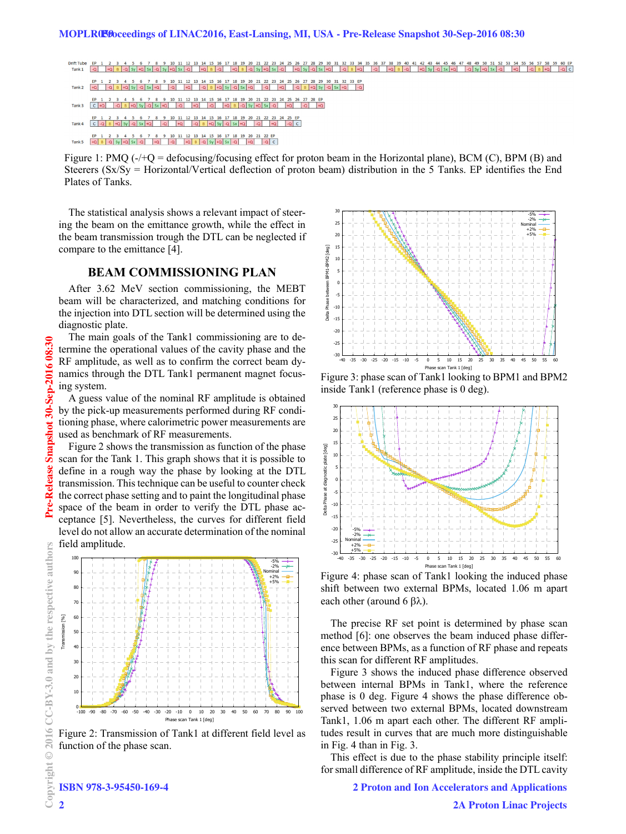- 16 17 18 19 20 21 22 23 24 25 26 27 28 29 30 31 32 33 34 35 36 37 38 39 40 41 42 43 44 45 46 47 48 49 50 51 52 53 54 55 56 57 58 59 60 EP<br>-Q | +Q | B |-Q | Sy |+Q | Sx |-Q | +Q | Sy |-Q | Sx |+Q | -Q | B |-Q | +Q | B |-Q |
- 8 9 10 11 12 13 14 15 16 17 18 19 20 21 22 23  $5$  26 27 28 29 30 31 32 33 EP<br> $\begin{array}{|c|c|c|c|c|c|c|c|} \hline \text{ } & \text{--} & \text{--} & \text{--} & \text{--} \\ \hline \end{array}$ Tank 2
- 
- 
- 

Figure 1: PMQ (-/+Q = defocusing/focusing effect for proton beam in the Horizontal plane), BCM (C), BPM (B) and Steerers (Sx/Sy = Horizontal/Vertical deflection of proton beam) distribution in the 5 Tanks. EP identifies the End Plates of Tanks.

The statistical analysis shows a relevant impact of steering the beam on the emittance growth, while the effect in the beam transmission trough the DTL can be neglected if compare to the emittance [4].

## **BEAM COMMISSIONING PLAN**

After 3.62 MeV section commissioning, the MEBT beam will be characterized, and matching conditions for the injection into DTL section will be determined using the diagnostic plate.

The main goals of the Tank1 commissioning are to determine the operational values of the cavity phase and the RF amplitude, as well as to confirm the correct beam dynamics through the DTL Tank1 permanent magnet focusing system.

A guess value of the nominal RF amplitude is obtained by the pick-up measurements performed during RF conditioning phase, where calorimetric power measurements are used as benchmark of RF measurements.

Figure 2 shows the transmission as function of the phase scan for the Tank 1. This graph shows that it is possible to define in a rough way the phase by looking at the DTL transmission. This technique can be useful to counter check the correct phase setting and to paint the longitudinal phase space of the beam in order to verify the DTL phase acceptance [5]. Nevertheless, the curves for different field level do not allow an accurate determination of the nominal field amplitude.



Figure 2: Transmission of Tank1 at different field level as function of the phase scan.



Figure 3: phase scan of Tank1 looking to BPM1 and BPM2 inside Tank1 (reference phase is 0 deg).



Figure 4: phase scan of Tank1 looking the induced phase shift between two external BPMs, located 1.06 m apart each other (around 6  $\beta \lambda$ ).

The precise RF set point is determined by phase scan method [6]: one observes the beam induced phase difference between BPMs, as a function of RF phase and repeats this scan for different RF amplitudes.

Figure 3 shows the induced phase difference observed between internal BPMs in Tank1, where the reference phase is 0 deg. Figure 4 shows the phase difference observed between two external BPMs, located downstream Tank1, 1.06 m apart each other. The different RF amplitudes result in curves that are much more distinguishable in Fig. 4 than in Fig. 3.

This effect is due to the phase stability principle itself: for small difference of RF amplitude, inside the DTL cavity

2 Proton and Ion Accelerators and Applications

2